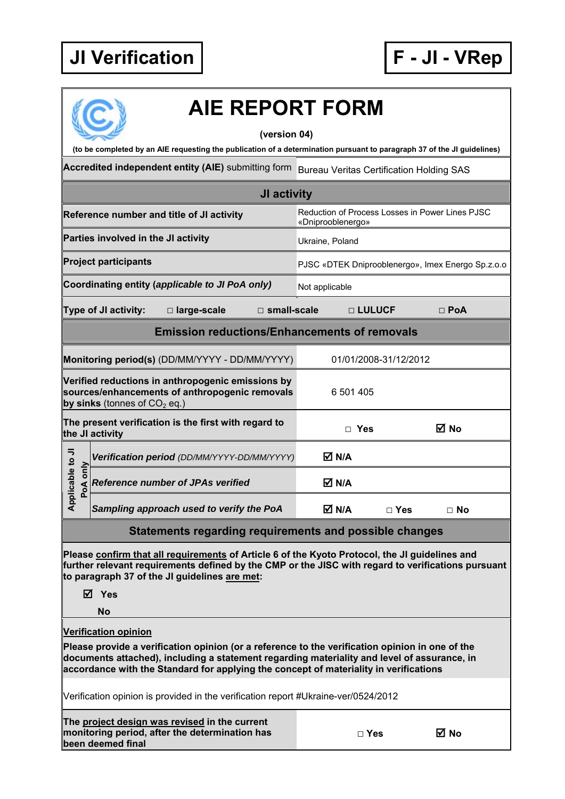

## **AIE REPORT FORM**

**(version 04)** 

**(to be completed by an AIE requesting the publication of a determination pursuant to paragraph 37 of the JI guidelines)** 

Accredited independent entity (AIE) submitting form Bureau Veritas Certification Holding SAS

| <b>JI activity</b>                                                                                                                                                                                                                                    |                                                                                                                                                                                                                                                                                         |                                                                      |            |            |  |  |
|-------------------------------------------------------------------------------------------------------------------------------------------------------------------------------------------------------------------------------------------------------|-----------------------------------------------------------------------------------------------------------------------------------------------------------------------------------------------------------------------------------------------------------------------------------------|----------------------------------------------------------------------|------------|------------|--|--|
|                                                                                                                                                                                                                                                       | Reference number and title of JI activity                                                                                                                                                                                                                                               | Reduction of Process Losses in Power Lines PJSC<br>«Dniprooblenergo» |            |            |  |  |
|                                                                                                                                                                                                                                                       | Parties involved in the JI activity                                                                                                                                                                                                                                                     | Ukraine, Poland                                                      |            |            |  |  |
|                                                                                                                                                                                                                                                       | <b>Project participants</b>                                                                                                                                                                                                                                                             | PJSC «DTEK Dniprooblenergo», Imex Energo Sp.z.o.o                    |            |            |  |  |
|                                                                                                                                                                                                                                                       | Coordinating entity (applicable to JI PoA only)                                                                                                                                                                                                                                         | Not applicable                                                       |            |            |  |  |
|                                                                                                                                                                                                                                                       | Type of JI activity:<br>□ large-scale<br>$\square$ small-scale                                                                                                                                                                                                                          | □ LULUCF                                                             |            | $\Box$ PoA |  |  |
| <b>Emission reductions/Enhancements of removals</b>                                                                                                                                                                                                   |                                                                                                                                                                                                                                                                                         |                                                                      |            |            |  |  |
|                                                                                                                                                                                                                                                       | Monitoring period(s) (DD/MM/YYYY - DD/MM/YYYY)                                                                                                                                                                                                                                          | 01/01/2008-31/12/2012                                                |            |            |  |  |
| Verified reductions in anthropogenic emissions by<br>sources/enhancements of anthropogenic removals<br>by sinks (tonnes of $CO2$ eq.)                                                                                                                 |                                                                                                                                                                                                                                                                                         | 6 501 405                                                            |            |            |  |  |
| The present verification is the first with regard to<br>the JI activity                                                                                                                                                                               |                                                                                                                                                                                                                                                                                         | $\Box$ Yes                                                           |            | ⊠ No       |  |  |
| ⋾                                                                                                                                                                                                                                                     | Verification period (DD/MM/YYYY-DD/MM/YYYY)                                                                                                                                                                                                                                             | $\overline{\mathsf{M}}$ N/A                                          |            |            |  |  |
| <b>Applicable to</b><br>PoA only                                                                                                                                                                                                                      | <b>Reference number of JPAs verified</b>                                                                                                                                                                                                                                                | $\overline{\mathsf{M}}$ N/A                                          |            |            |  |  |
|                                                                                                                                                                                                                                                       | Sampling approach used to verify the PoA                                                                                                                                                                                                                                                | M N/A                                                                | $\Box$ Yes | $\Box$ No  |  |  |
| Statements regarding requirements and possible changes                                                                                                                                                                                                |                                                                                                                                                                                                                                                                                         |                                                                      |            |            |  |  |
| Please confirm that all requirements of Article 6 of the Kyoto Protocol, the JI guidelines and<br>further relevant requirements defined by the CMP or the JISC with regard to verifications pursuant<br>to paragraph 37 of the JI guidelines are met: |                                                                                                                                                                                                                                                                                         |                                                                      |            |            |  |  |
| ☑                                                                                                                                                                                                                                                     | Yes<br><b>No</b>                                                                                                                                                                                                                                                                        |                                                                      |            |            |  |  |
|                                                                                                                                                                                                                                                       | <b>Verification opinion</b>                                                                                                                                                                                                                                                             |                                                                      |            |            |  |  |
|                                                                                                                                                                                                                                                       | Please provide a verification opinion (or a reference to the verification opinion in one of the<br>documents attached), including a statement regarding materiality and level of assurance, in<br>accordance with the Standard for applying the concept of materiality in verifications |                                                                      |            |            |  |  |
|                                                                                                                                                                                                                                                       | Verification opinion is provided in the verification report #Ukraine-ver/0524/2012                                                                                                                                                                                                      |                                                                      |            |            |  |  |

|  |                   |  | The project design was revised in the current  |
|--|-------------------|--|------------------------------------------------|
|  |                   |  | monitoring period, after the determination has |
|  | been deemed final |  |                                                |

| ×<br>۰.<br>M.<br>۰. |
|---------------------|
|---------------------|